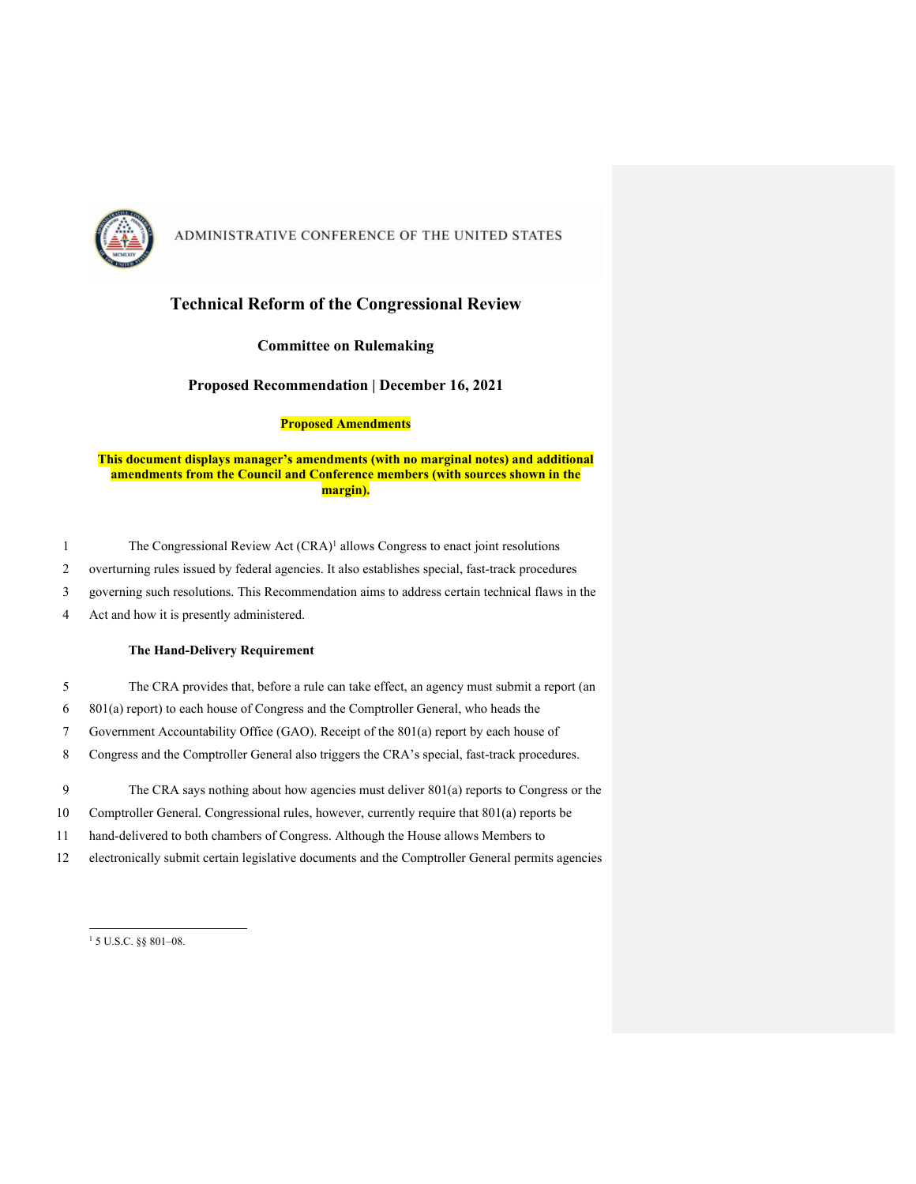

### **Technical Reform of the Congressional Review**

#### **Committee on Rulemaking**

**Proposed Recommendation | December 16, 2021**

#### **Proposed Amendments**

#### **This document displays manager's amendments (with no marginal notes) and additional amendments from the Council and Conference members (with sources shown in the margin).**

- 1 The Congressional Review Act (CRA)<sup>1</sup> allows Congress to enact joint resolutions
- 2 overturning rules issued by federal agencies. It also establishes special, fast-track procedures
- 3 governing such resolutions. This Recommendation aims to address certain technical flaws in the
- 4 Act and how it is presently administered.

#### **The Hand-Delivery Requirement**

- 5 The CRA provides that, before a rule can take effect, an agency must submit a report (an
- 6 801(a) report) to each house of Congress and the Comptroller General, who heads the
- 7 Government Accountability Office (GAO). Receipt of the 801(a) report by each house of
- 8 Congress and the Comptroller General also triggers the CRA's special, fast-track procedures.
- 9 The CRA says nothing about how agencies must deliver 801(a) reports to Congress or the
- 10 Comptroller General. Congressional rules, however, currently require that 801(a) reports be
- 11 hand-delivered to both chambers of Congress. Although the House allows Members to
- 12 electronically submit certain legislative documents and the Comptroller General permits agencies

<sup>1</sup> 5 U.S.C. §§ 801–08.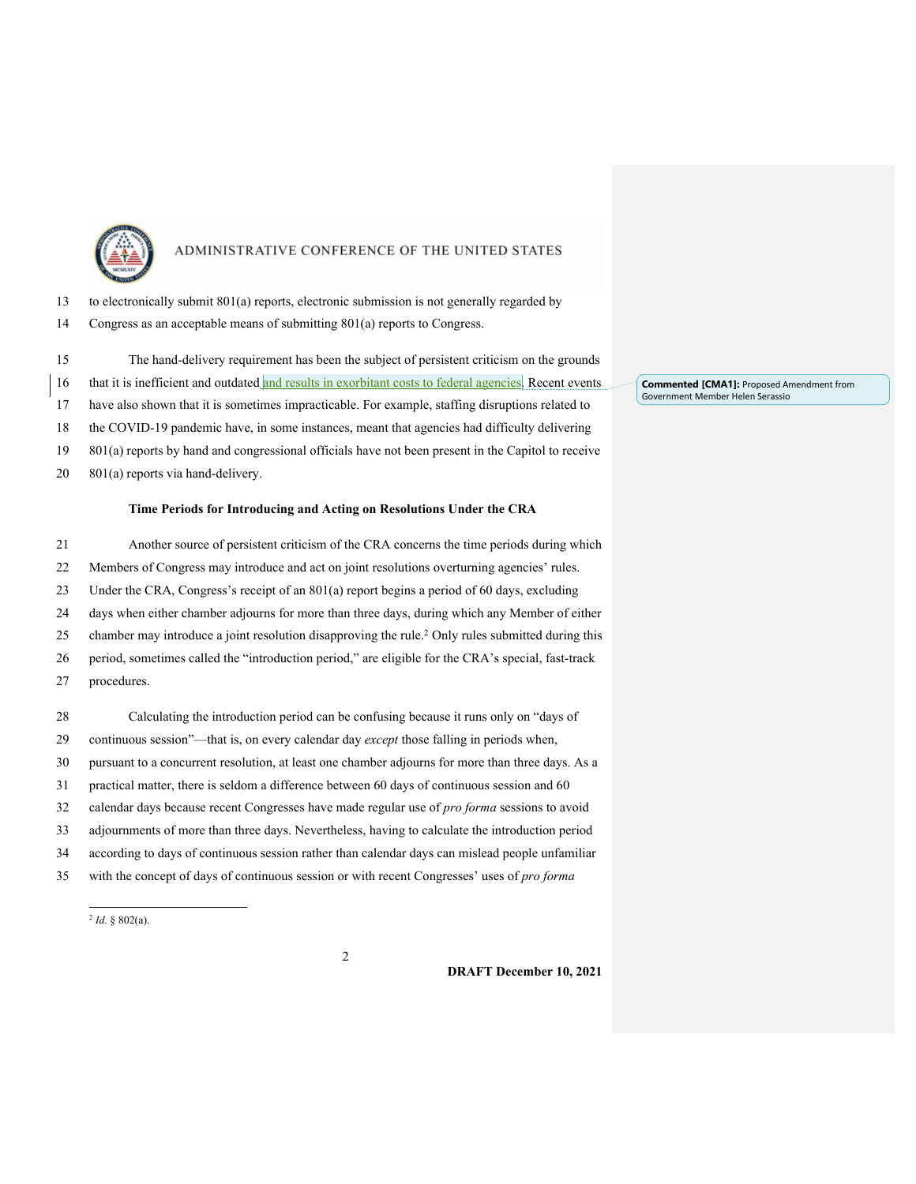

| 13 to electronically submit 801(a) reports, electronic submission is not generally regarded by |  |  |  |  |
|------------------------------------------------------------------------------------------------|--|--|--|--|
|                                                                                                |  |  |  |  |

Congress as an acceptable means of submitting 801(a) reports to Congress.

 The hand-delivery requirement has been the subject of persistent criticism on the grounds 16 that it is inefficient and outdated and results in exorbitant costs to federal agencies. Recent events have also shown that it is sometimes impracticable. For example, staffing disruptions related to the COVID-19 pandemic have, in some instances, meant that agencies had difficulty delivering 801(a) reports by hand and congressional officials have not been present in the Capitol to receive 801(a) reports via hand-delivery.

#### **Time Periods for Introducing and Acting on Resolutions Under the CRA**

 Another source of persistent criticism of the CRA concerns the time periods during which Members of Congress may introduce and act on joint resolutions overturning agencies' rules. Under the CRA, Congress's receipt of an 801(a) report begins a period of 60 days, excluding days when either chamber adjourns for more than three days, during which any Member of either 25 chamber may introduce a joint resolution disapproving the rule.<sup>2</sup> Only rules submitted during this period, sometimes called the "introduction period," are eligible for the CRA's special, fast-track procedures. Calculating the introduction period can be confusing because it runs only on "days of continuous session"—that is, on every calendar day *except* those falling in periods when, pursuant to a concurrent resolution, at least one chamber adjourns for more than three days. As a practical matter, there is seldom a difference between 60 days of continuous session and 60 calendar days because recent Congresses have made regular use of *pro forma* sessions to avoid adjournments of more than three days. Nevertheless, having to calculate the introduction period according to days of continuous session rather than calendar days can mislead people unfamiliar with the concept of days of continuous session or with recent Congresses' uses of *pro forma* 

 $^{2}$  *Id.* § 802(a).

**DRAFT December 10, 2021**

**Commented [CMA1]:** Proposed Amendment from Government Member Helen Serassio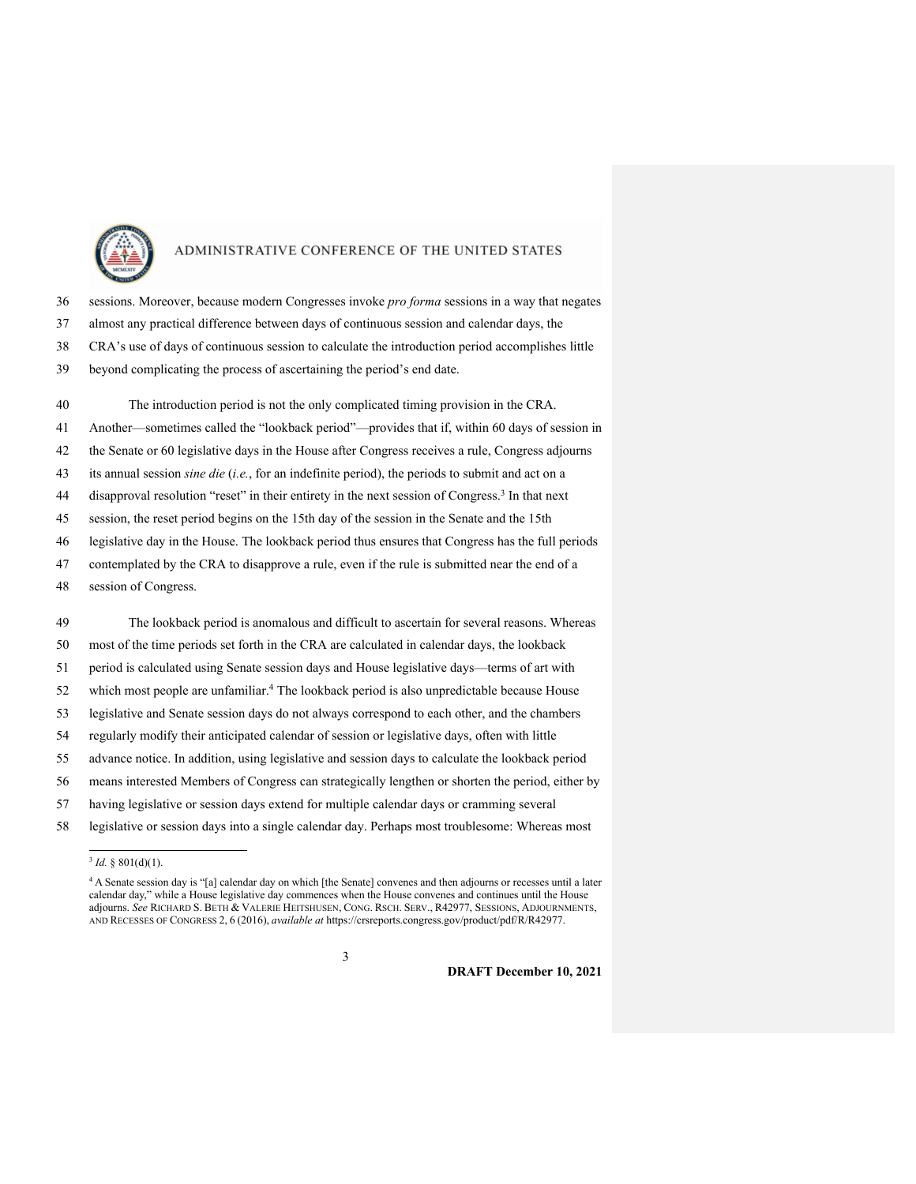

 sessions. Moreover, because modern Congresses invoke *pro forma* sessions in a way that negates almost any practical difference between days of continuous session and calendar days, the CRA's use of days of continuous session to calculate the introduction period accomplishes little beyond complicating the process of ascertaining the period's end date.

 The introduction period is not the only complicated timing provision in the CRA. Another—sometimes called the "lookback period"—provides that if, within 60 days of session in the Senate or 60 legislative days in the House after Congress receives a rule, Congress adjourns its annual session *sine die* (*i.e.*, for an indefinite period), the periods to submit and act on a 44 disapproval resolution "reset" in their entirety in the next session of Congress.<sup>3</sup> In that next session, the reset period begins on the 15th day of the session in the Senate and the 15th legislative day in the House. The lookback period thus ensures that Congress has the full periods contemplated by the CRA to disapprove a rule, even if the rule is submitted near the end of a session of Congress. The lookback period is anomalous and difficult to ascertain for several reasons. Whereas

 most of the time periods set forth in the CRA are calculated in calendar days, the lookback period is calculated using Senate session days and House legislative days—terms of art with 52 which most people are unfamiliar.<sup>4</sup> The lookback period is also unpredictable because House legislative and Senate session days do not always correspond to each other, and the chambers regularly modify their anticipated calendar of session or legislative days, often with little advance notice. In addition, using legislative and session days to calculate the lookback period

- means interested Members of Congress can strategically lengthen or shorten the period, either by
- having legislative or session days extend for multiple calendar days or cramming several
- legislative or session days into a single calendar day. Perhaps most troublesome: Whereas most

*Id.* § 801(d)(1).

 A Senate session day is "[a] calendar day on which [the Senate] convenes and then adjourns or recesses until a later calendar day," while a House legislative day commences when the House convenes and continues until the House adjourns. *See* RICHARD S. BETH & VALERIE HEITSHUSEN, CONG. RSCH. SERV., R42977, SESSIONS, ADJOURNMENTS, AND RECESSES OF CONGRESS 2, 6 (2016), *available at* https://crsreports.congress.gov/product/pdf/R/R42977.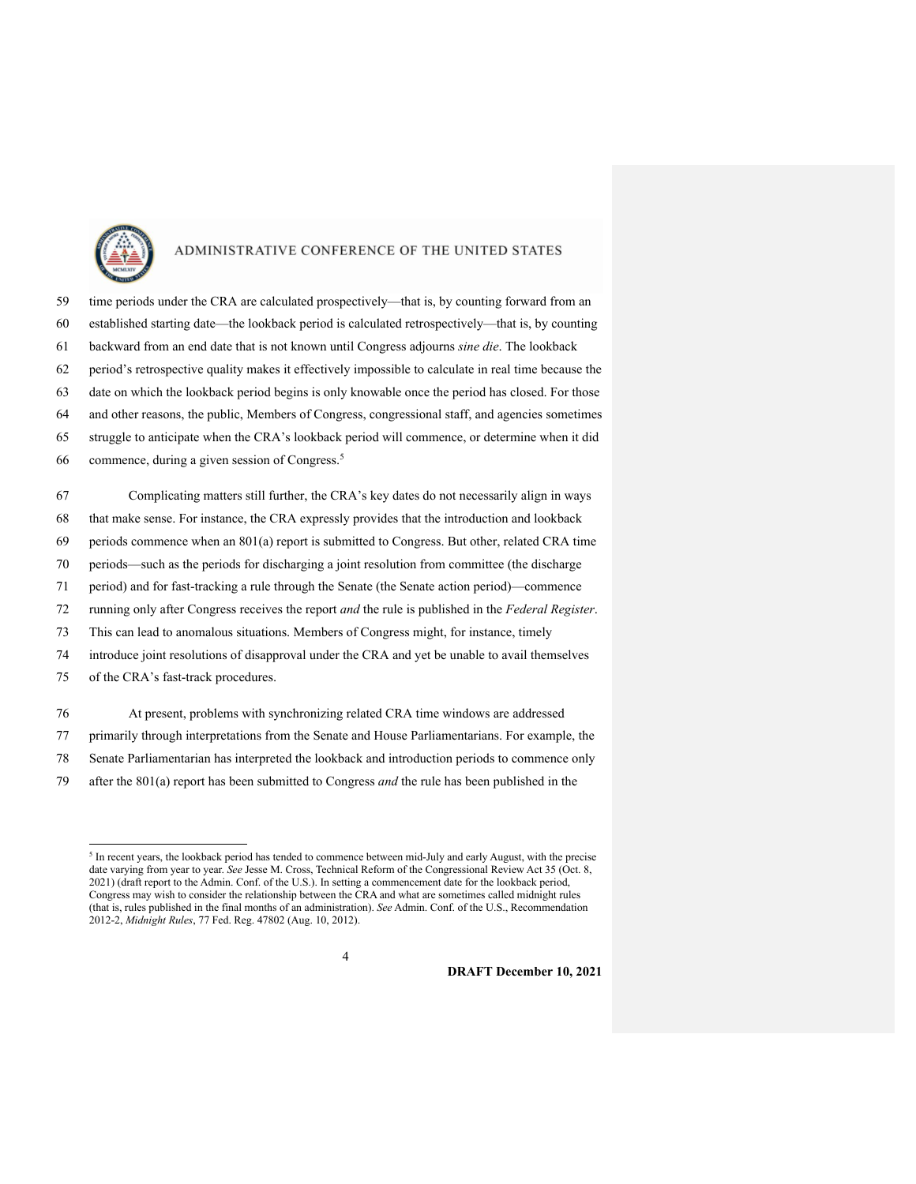

 time periods under the CRA are calculated prospectively—that is, by counting forward from an established starting date—the lookback period is calculated retrospectively—that is, by counting backward from an end date that is not known until Congress adjourns *sine die*. The lookback period's retrospective quality makes it effectively impossible to calculate in real time because the date on which the lookback period begins is only knowable once the period has closed. For those and other reasons, the public, Members of Congress, congressional staff, and agencies sometimes struggle to anticipate when the CRA's lookback period will commence, or determine when it did commence, during a given session of Congress.5

 Complicating matters still further, the CRA's key dates do not necessarily align in ways that make sense. For instance, the CRA expressly provides that the introduction and lookback periods commence when an 801(a) report is submitted to Congress. But other, related CRA time periods—such as the periods for discharging a joint resolution from committee (the discharge period) and for fast-tracking a rule through the Senate (the Senate action period)—commence running only after Congress receives the report *and* the rule is published in the *Federal Register*. This can lead to anomalous situations. Members of Congress might, for instance, timely introduce joint resolutions of disapproval under the CRA and yet be unable to avail themselves of the CRA's fast-track procedures.

 At present, problems with synchronizing related CRA time windows are addressed primarily through interpretations from the Senate and House Parliamentarians. For example, the Senate Parliamentarian has interpreted the lookback and introduction periods to commence only after the 801(a) report has been submitted to Congress *and* the rule has been published in the

<sup>&</sup>lt;sup>5</sup> In recent years, the lookback period has tended to commence between mid-July and early August, with the precise date varying from year to year. *See* Jesse M. Cross, Technical Reform of the Congressional Review Act 35 (Oct. 8, 2021) (draft report to the Admin. Conf. of the U.S.). In setting a commencement date for the lookback period, Congress may wish to consider the relationship between the CRA and what are sometimes called midnight rules (that is, rules published in the final months of an administration). *See* Admin. Conf. of the U.S., Recommendation 2012-2, *Midnight Rules*, 77 Fed. Reg. 47802 (Aug. 10, 2012).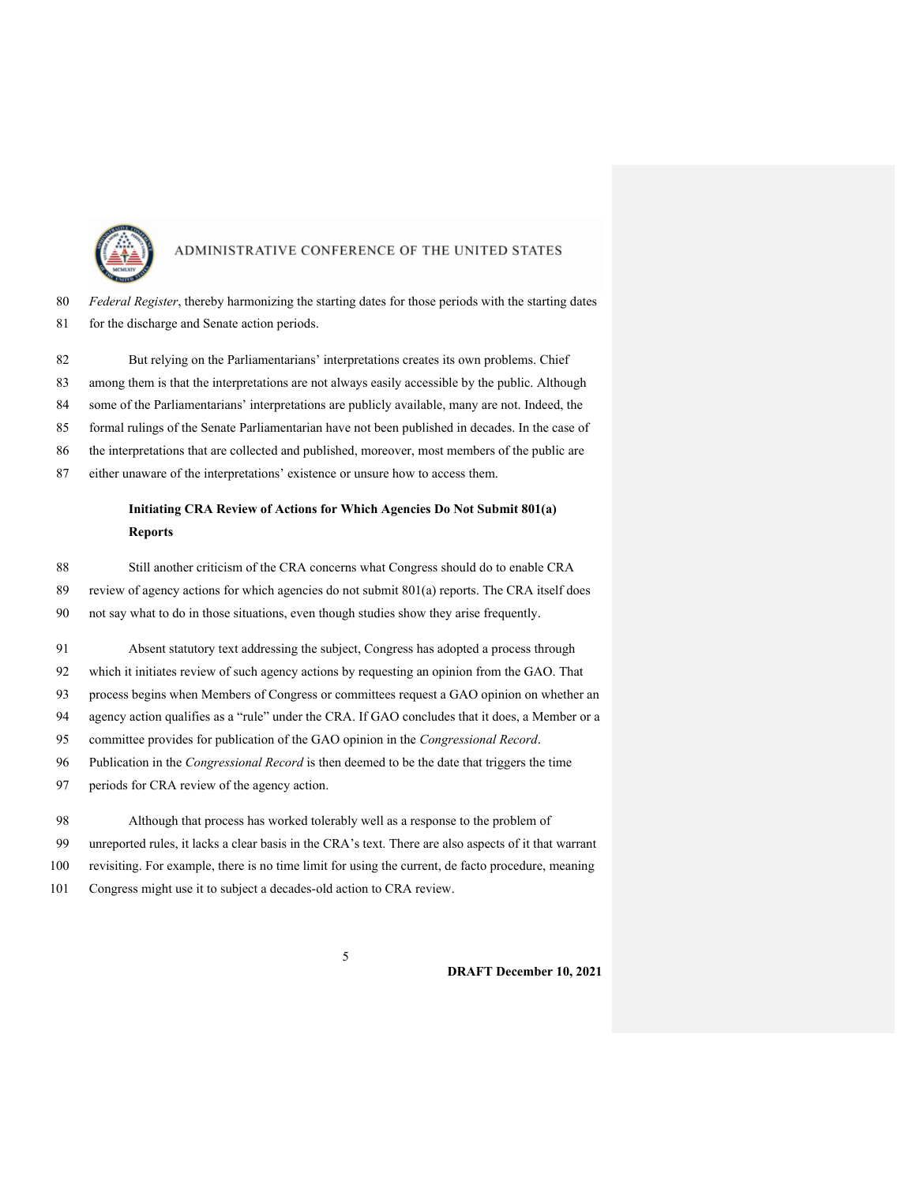

 *Federal Register*, thereby harmonizing the starting dates for those periods with the starting dates 81 for the discharge and Senate action periods.

82 But relying on the Parliamentarians' interpretations creates its own problems. Chief among them is that the interpretations are not always easily accessible by the public. Although some of the Parliamentarians' interpretations are publicly available, many are not. Indeed, the formal rulings of the Senate Parliamentarian have not been published in decades. In the case of the interpretations that are collected and published, moreover, most members of the public are either unaware of the interpretations' existence or unsure how to access them.

### **Initiating CRA Review of Actions for Which Agencies Do Not Submit 801(a) Reports**

Still another criticism of the CRA concerns what Congress should do to enable CRA

- review of agency actions for which agencies do not submit 801(a) reports. The CRA itself does
- not say what to do in those situations, even though studies show they arise frequently.

 Absent statutory text addressing the subject, Congress has adopted a process through which it initiates review of such agency actions by requesting an opinion from the GAO. That process begins when Members of Congress or committees request a GAO opinion on whether an agency action qualifies as a "rule" under the CRA. If GAO concludes that it does, a Member or a committee provides for publication of the GAO opinion in the *Congressional Record*. Publication in the *Congressional Record* is then deemed to be the date that triggers the time periods for CRA review of the agency action.

 Although that process has worked tolerably well as a response to the problem of unreported rules, it lacks a clear basis in the CRA's text. There are also aspects of it that warrant revisiting. For example, there is no time limit for using the current, de facto procedure, meaning Congress might use it to subject a decades-old action to CRA review.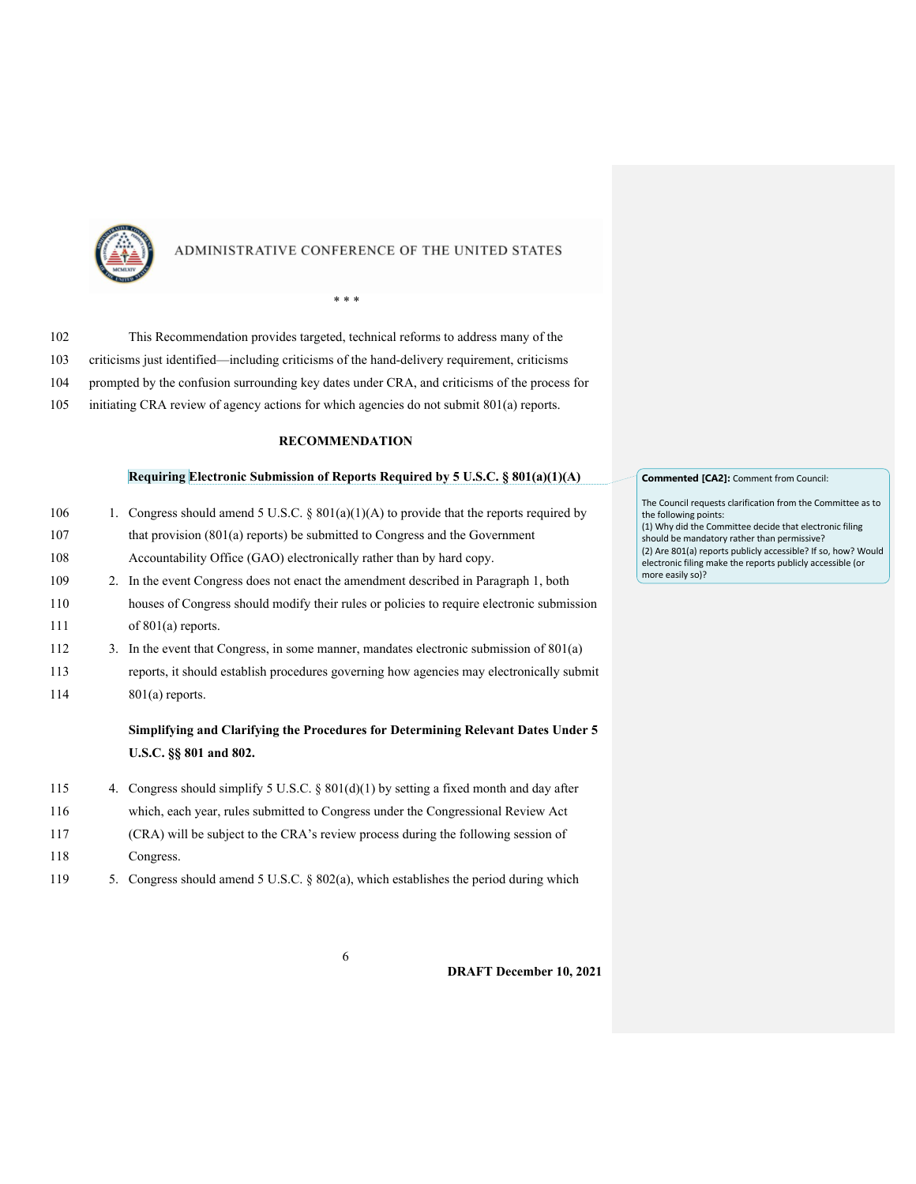

*\* \* \**

# 102 This Recommendation provides targeted, technical reforms to address many of the 103 criticisms just identified—including criticisms of the hand-delivery requirement, criticisms 104 prompted by the confusion surrounding key dates under CRA, and criticisms of the process for 105 initiating CRA review of agency actions for which agencies do not submit 801(a) reports.

#### **RECOMMENDATION**

#### **Requiring Electronic Submission of Reports Required by 5 U.S.C. § 801(a)(1)(A)**

| 106 | 1. Congress should amend 5 U.S.C. § $801(a)(1)(A)$ to provide that the reports required by |
|-----|--------------------------------------------------------------------------------------------|
| 107 | that provision $(801(a)$ reports) be submitted to Congress and the Government              |
| 108 | Accountability Office (GAO) electronically rather than by hard copy.                       |
| 109 | 2. In the event Congress does not enact the amendment described in Paragraph 1, both       |
| 110 | houses of Congress should modify their rules or policies to require electronic submission  |
| 111 | of $801(a)$ reports.                                                                       |
| 112 | 3. In the event that Congress, in some manner, mandates electronic submission of $801(a)$  |
| 113 | reports, it should establish procedures governing how agencies may electronically submit   |
| 114 | $801(a)$ reports.                                                                          |
|     |                                                                                            |

### **Simplifying and Clarifying the Procedures for Determining Relevant Dates Under 5 U.S.C. §§ 801 and 802.**

- 115 4. Congress should simplify 5 U.S.C. § 801(d)(1) by setting a fixed month and day after 116 which, each year, rules submitted to Congress under the Congressional Review Act 117 (CRA) will be subject to the CRA's review process during the following session of 118 Congress.
- 119 5. Congress should amend 5 U.S.C. § 802(a), which establishes the period during which

#### **Commented [CA2]:** Comment from Council:

The Council requests clarification from the Committee as to the following points:

(1) Why did the Committee decide that electronic filing should be mandatory rather than permissive? (2) Are 801(a) reports publicly accessible? If so, how? Would electronic filing make the reports publicly accessible (or more easily so)?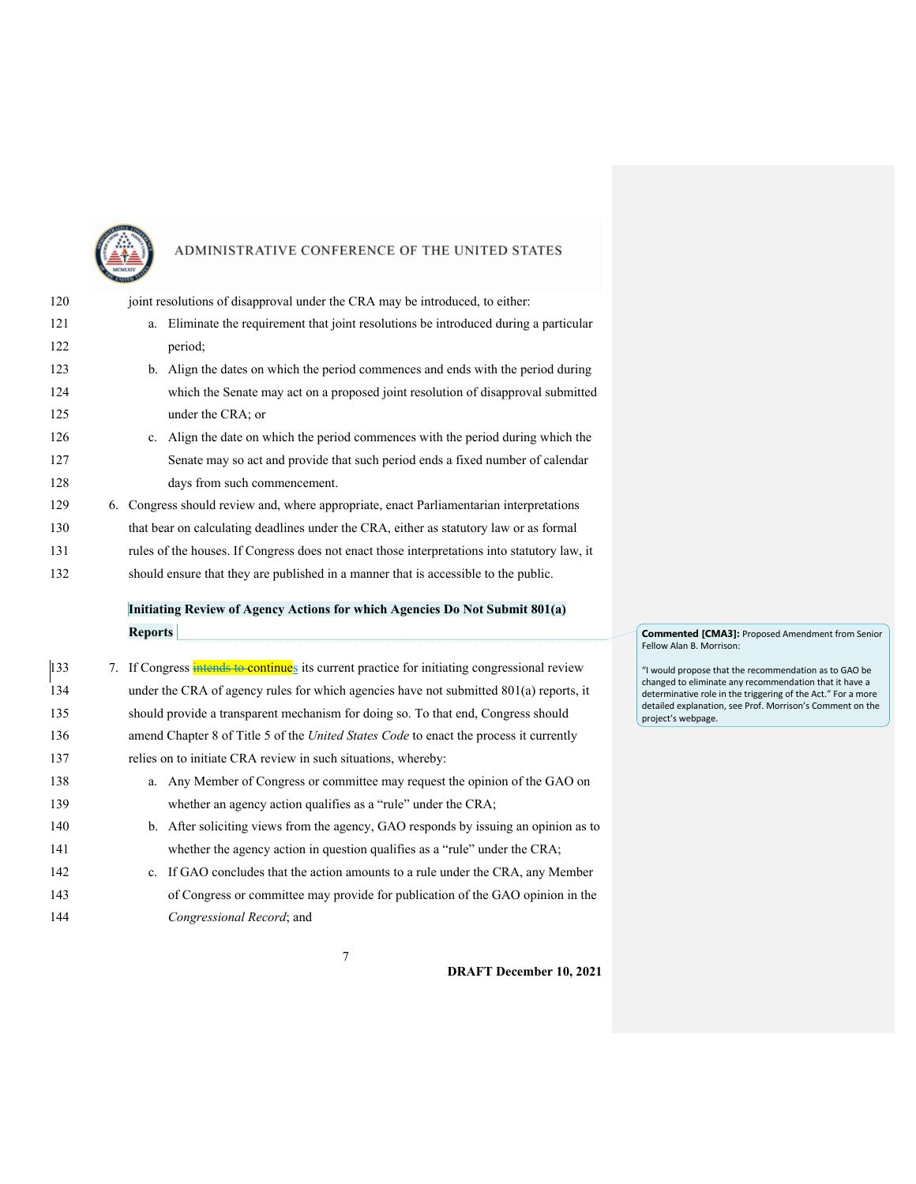

| 120        | joint resolutions of disapproval under the CRA may be introduced, to either:                                                                                      |
|------------|-------------------------------------------------------------------------------------------------------------------------------------------------------------------|
| 121        | a. Eliminate the requirement that joint resolutions be introduced during a particular                                                                             |
| 122        | period;                                                                                                                                                           |
| 123        | b. Align the dates on which the period commences and ends with the period during                                                                                  |
| 124        | which the Senate may act on a proposed joint resolution of disapproval submitted                                                                                  |
| 125        | under the CRA; or                                                                                                                                                 |
| 126        | c. Align the date on which the period commences with the period during which the                                                                                  |
| 127        | Senate may so act and provide that such period ends a fixed number of calendar                                                                                    |
| 128        | days from such commencement.                                                                                                                                      |
| 129        | 6. Congress should review and, where appropriate, enact Parliamentarian interpretations                                                                           |
| 130        | that bear on calculating deadlines under the CRA, either as statutory law or as formal                                                                            |
| 131        | rules of the houses. If Congress does not enact those interpretations into statutory law, it                                                                      |
| 132        | should ensure that they are published in a manner that is accessible to the public.                                                                               |
|            |                                                                                                                                                                   |
|            | Initiating Review of Agency Actions for which Agencies Do Not Submit 801(a)                                                                                       |
|            | <b>Reports</b>                                                                                                                                                    |
|            |                                                                                                                                                                   |
| 133        | 7. If Congress intends to continues its current practice for initiating congressional review                                                                      |
| 134        | under the CRA of agency rules for which agencies have not submitted 801(a) reports, it                                                                            |
| 135        | should provide a transparent mechanism for doing so. To that end, Congress should                                                                                 |
| 136        | amend Chapter 8 of Title 5 of the United States Code to enact the process it currently                                                                            |
| 137        | relies on to initiate CRA review in such situations, whereby:                                                                                                     |
| 138        | a. Any Member of Congress or committee may request the opinion of the GAO on                                                                                      |
| 139        | whether an agency action qualifies as a "rule" under the CRA;                                                                                                     |
| 140        | b. After soliciting views from the agency, GAO responds by issuing an opinion as to                                                                               |
| 141        | whether the agency action in question qualifies as a "rule" under the CRA;                                                                                        |
| 142<br>143 | c. If GAO concludes that the action amounts to a rule under the CRA, any Member<br>of Congress or committee may provide for publication of the GAO opinion in the |

**Commented [CMA3]:** Proposed Amendment from Senior Fellow Alan B. Morrison:

"I would propose that the recommendation as to GAO be changed to eliminate any recommendation that it have a determinative role in the triggering of the Act." For a more detailed explanation, see Prof. Morrison's Comment on the project's webpage.

7

144 *Congressional Record*; and